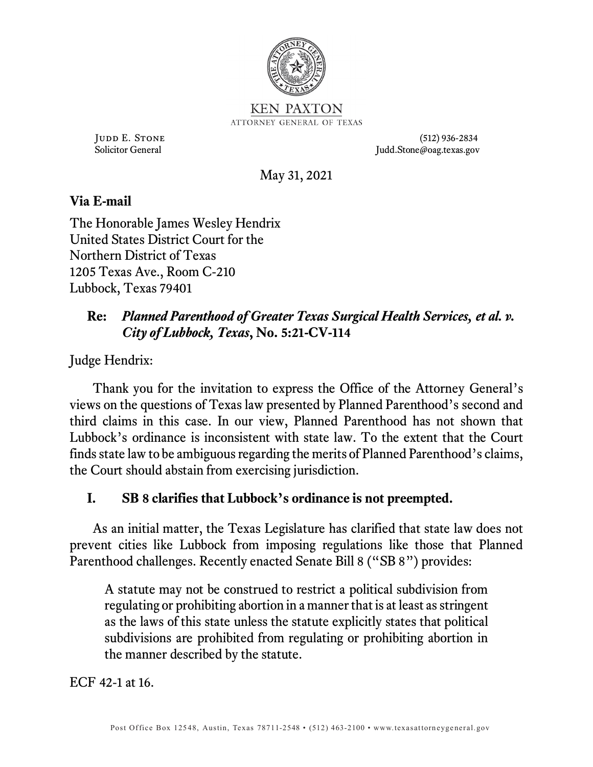

Judd E. Stone (512) 936-2834 Solicitor General Judd.Stone@oag.texas.gov

May 31, 2021

# **Via E-mail**

The Honorable James Wesley Hendrix United States District Court for the Northern District of Texas 1205 Texas Ave., Room C-210 Lubbock, Texas 79401

# **Re:** *Planned Parenthood of Greater Texas Surgical Health Services, et al. v. City of Lubbock, Texas***, No. 5:21-CV-114**

Judge Hendrix:

Thank you for the invitation to express the Office of the Attorney General's views on the questions of Texas law presented by Planned Parenthood's second and third claims in this case. In our view, Planned Parenthood has not shown that Lubbock's ordinance is inconsistent with state law. To the extent that the Court finds state law to be ambiguous regarding the merits of Planned Parenthood's claims, the Court should abstain from exercising jurisdiction.

## **I. SB 8 clarifies that Lubbock's ordinance is not preempted.**

As an initial matter, the Texas Legislature has clarified that state law does not prevent cities like Lubbock from imposing regulations like those that Planned Parenthood challenges. Recently enacted Senate Bill 8 ("SB 8") provides:

A statute may not be construed to restrict a political subdivision from regulating or prohibiting abortion in a manner that is at least as stringent as the laws of this state unless the statute explicitly states that political subdivisions are prohibited from regulating or prohibiting abortion in the manner described by the statute.

ECF 42-1 at 16.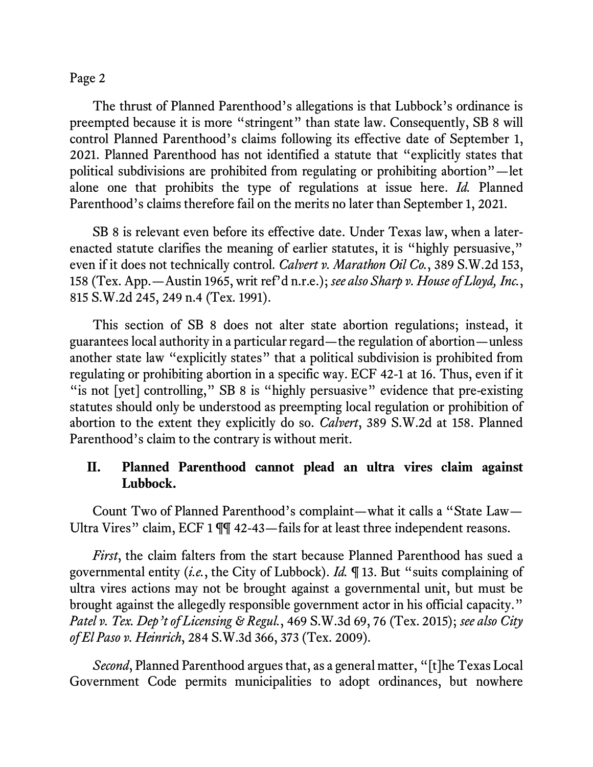The thrust of Planned Parenthood's allegations is that Lubbock's ordinance is preempted because it is more "stringent" than state law. Consequently, SB 8 will control Planned Parenthood's claims following its effective date of September 1, 2021. Planned Parenthood has not identified a statute that "explicitly states that political subdivisions are prohibited from regulating or prohibiting abortion"—let alone one that prohibits the type of regulations at issue here. *Id.* Planned Parenthood's claims therefore fail on the merits no later than September 1, 2021.

SB 8 is relevant even before its effective date. Under Texas law, when a laterenacted statute clarifies the meaning of earlier statutes, it is "highly persuasive," even if it does not technically control. *Calvert v. Marathon Oil Co.*, 389 S.W.2d 153, 158 (Tex. App.—Austin 1965, writ ref'd n.r.e.); *see also Sharp v. House of Lloyd, Inc.*, 815 S.W.2d 245, 249 n.4 (Tex. 1991).

This section of SB 8 does not alter state abortion regulations; instead, it guarantees local authority in a particular regard—the regulation of abortion—unless another state law "explicitly states" that a political subdivision is prohibited from regulating or prohibiting abortion in a specific way. ECF 42-1 at 16. Thus, even if it "is not [yet] controlling," SB 8 is "highly persuasive" evidence that pre-existing statutes should only be understood as preempting local regulation or prohibition of abortion to the extent they explicitly do so. *Calvert*, 389 S.W.2d at 158. Planned Parenthood's claim to the contrary is without merit.

## **II. Planned Parenthood cannot plead an ultra vires claim against Lubbock.**

Count Two of Planned Parenthood's complaint—what it calls a "State Law— Ultra Vires" claim, ECF 1 ¶¶ 42-43—fails for at least three independent reasons.

*First*, the claim falters from the start because Planned Parenthood has sued a governmental entity (*i.e.*, the City of Lubbock). *Id.* ¶ 13. But "suits complaining of ultra vires actions may not be brought against a governmental unit, but must be brought against the allegedly responsible government actor in his official capacity." *Patel v. Tex. Dep't of Licensing & Regul.*, 469 S.W.3d 69, 76 (Tex. 2015); *see also City of El Paso v. Heinrich*, 284 S.W.3d 366, 373 (Tex. 2009).

*Second*, Planned Parenthood argues that, as a general matter, "[t]he Texas Local Government Code permits municipalities to adopt ordinances, but nowhere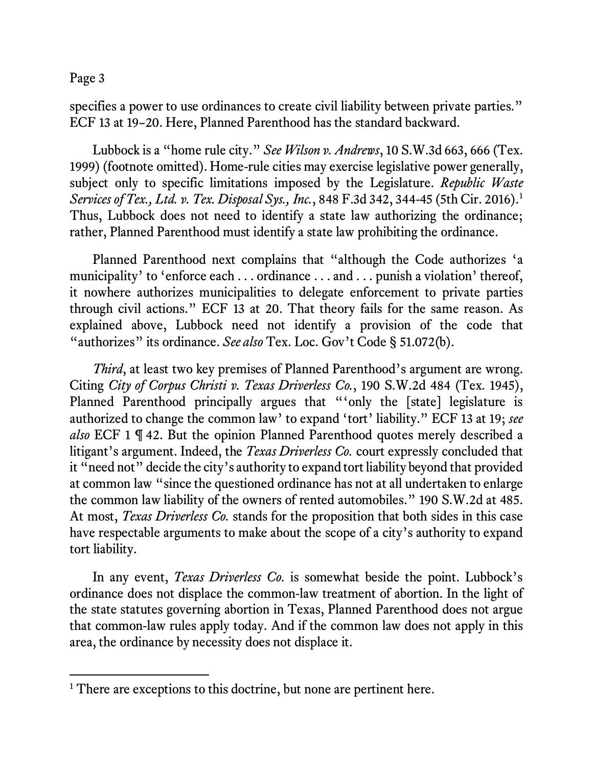specifies a power to use ordinances to create civil liability between private parties." ECF 13 at 19–20. Here, Planned Parenthood has the standard backward.

Lubbock is a "home rule city." *See Wilson v. Andrews*, 10 S.W.3d 663, 666 (Tex. 1999) (footnote omitted). Home-rule cities may exercise legislative power generally, subject only to specific limitations imposed by the Legislature. *Republic Waste Services of Tex., Ltd. v. Tex. Disposal Sys., Inc.*, 848 F.3d 342, 344-45 (5th Cir. 2016).[1](#page-2-0) Thus, Lubbock does not need to identify a state law authorizing the ordinance; rather, Planned Parenthood must identify a state law prohibiting the ordinance.

Planned Parenthood next complains that "although the Code authorizes 'a municipality' to 'enforce each . . . ordinance . . . and . . . punish a violation' thereof, it nowhere authorizes municipalities to delegate enforcement to private parties through civil actions." ECF 13 at 20. That theory fails for the same reason. As explained above, Lubbock need not identify a provision of the code that "authorizes" its ordinance. *See also* Tex. Loc. Gov't Code § 51.072(b).

*Third*, at least two key premises of Planned Parenthood's argument are wrong. Citing *City of Corpus Christi v. Texas Driverless Co.*, 190 S.W.2d 484 (Tex. 1945), Planned Parenthood principally argues that "'only the [state] legislature is authorized to change the common law' to expand 'tort' liability." ECF 13 at 19; *see also* ECF 1 ¶ 42. But the opinion Planned Parenthood quotes merely described a litigant's argument. Indeed, the *Texas Driverless Co.* court expressly concluded that it "need not" decide the city's authority to expand tort liability beyond that provided at common law "since the questioned ordinance has not at all undertaken to enlarge the common law liability of the owners of rented automobiles." 190 S.W.2d at 485. At most, *Texas Driverless Co.* stands for the proposition that both sides in this case have respectable arguments to make about the scope of a city's authority to expand tort liability.

In any event, *Texas Driverless Co.* is somewhat beside the point. Lubbock's ordinance does not displace the common-law treatment of abortion. In the light of the state statutes governing abortion in Texas, Planned Parenthood does not argue that common-law rules apply today. And if the common law does not apply in this area, the ordinance by necessity does not displace it.

<span id="page-2-0"></span><sup>&</sup>lt;sup>1</sup> There are exceptions to this doctrine, but none are pertinent here.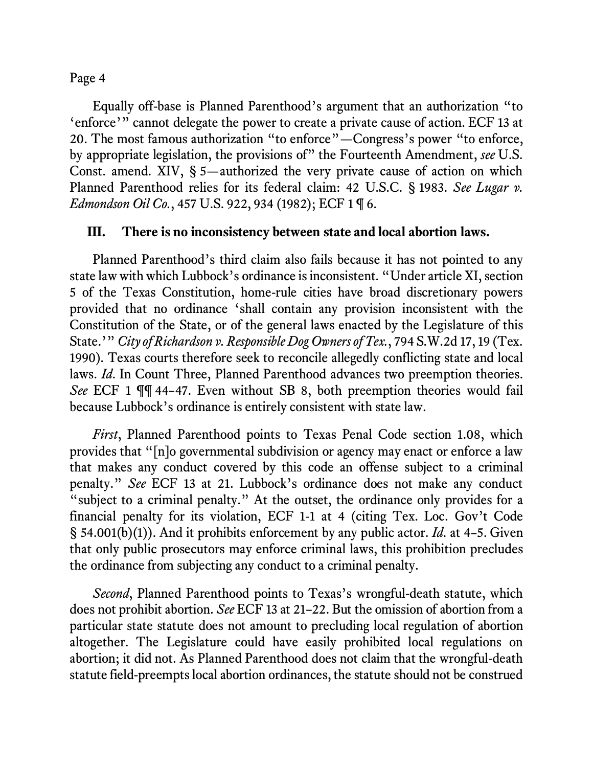Equally off-base is Planned Parenthood's argument that an authorization "to 'enforce'" cannot delegate the power to create a private cause of action. ECF 13 at 20. The most famous authorization "to enforce"—Congress's power "to enforce, by appropriate legislation, the provisions of" the Fourteenth Amendment, *see* U.S. Const. amend. XIV, § 5—authorized the very private cause of action on which Planned Parenthood relies for its federal claim: 42 U.S.C. § 1983. *See Lugar v. Edmondson Oil Co.*, 457 U.S. 922, 934 (1982); ECF 1 ¶ 6.

#### **III. There is no inconsistency between state and local abortion laws.**

Planned Parenthood's third claim also fails because it has not pointed to any state law with which Lubbock's ordinance is inconsistent. "Under article XI, section 5 of the Texas Constitution, home-rule cities have broad discretionary powers provided that no ordinance 'shall contain any provision inconsistent with the Constitution of the State, or of the general laws enacted by the Legislature of this State.'" *City of Richardson v. Responsible Dog Owners of Tex.*, 794 S.W.2d 17, 19 (Tex. 1990). Texas courts therefore seek to reconcile allegedly conflicting state and local laws. *Id*. In Count Three, Planned Parenthood advances two preemption theories. *See* ECF 1 ¶¶ 44–47. Even without SB 8, both preemption theories would fail because Lubbock's ordinance is entirely consistent with state law.

*First*, Planned Parenthood points to Texas Penal Code section 1.08, which provides that "[n]o governmental subdivision or agency may enact or enforce a law that makes any conduct covered by this code an offense subject to a criminal penalty." *See* ECF 13 at 21. Lubbock's ordinance does not make any conduct "subject to a criminal penalty." At the outset, the ordinance only provides for a financial penalty for its violation, ECF 1-1 at 4 (citing Tex. Loc. Gov't Code § 54.001(b)(1)). And it prohibits enforcement by any public actor. *Id*. at 4–5. Given that only public prosecutors may enforce criminal laws, this prohibition precludes the ordinance from subjecting any conduct to a criminal penalty.

*Second*, Planned Parenthood points to Texas's wrongful-death statute, which does not prohibit abortion. *See* ECF 13 at 21–22. But the omission of abortion from a particular state statute does not amount to precluding local regulation of abortion altogether. The Legislature could have easily prohibited local regulations on abortion; it did not. As Planned Parenthood does not claim that the wrongful-death statute field-preempts local abortion ordinances, the statute should not be construed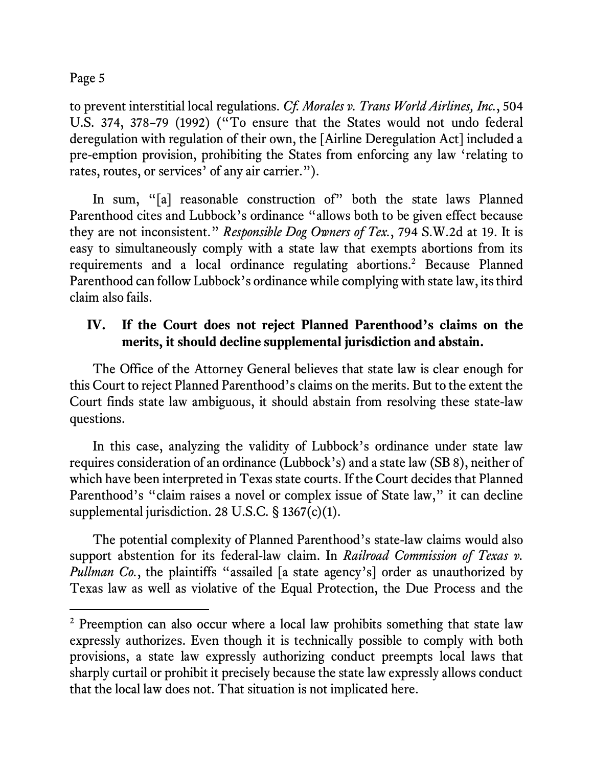to prevent interstitial local regulations. *Cf. Morales v. Trans World Airlines, Inc.*, 504 U.S. 374, 378–79 (1992) ("To ensure that the States would not undo federal deregulation with regulation of their own, the [Airline Deregulation Act] included a pre-emption provision, prohibiting the States from enforcing any law 'relating to rates, routes, or services' of any air carrier.").

In sum, "[a] reasonable construction of" both the state laws Planned Parenthood cites and Lubbock's ordinance "allows both to be given effect because they are not inconsistent." *Responsible Dog Owners of Tex.*, 794 S.W.2d at 19. It is easy to simultaneously comply with a state law that exempts abortions from its requirements and a local ordinance regulating abortions.[2](#page-4-0) Because Planned Parenthood can follow Lubbock's ordinance while complying with state law, its third claim also fails.

# **IV. If the Court does not reject Planned Parenthood's claims on the merits, it should decline supplemental jurisdiction and abstain.**

The Office of the Attorney General believes that state law is clear enough for this Court to reject Planned Parenthood's claims on the merits. But to the extent the Court finds state law ambiguous, it should abstain from resolving these state-law questions.

In this case, analyzing the validity of Lubbock's ordinance under state law requires consideration of an ordinance (Lubbock's) and a state law (SB 8), neither of which have been interpreted in Texas state courts. If the Court decides that Planned Parenthood's "claim raises a novel or complex issue of State law," it can decline supplemental jurisdiction. 28 U.S.C. § 1367(c)(1).

The potential complexity of Planned Parenthood's state-law claims would also support abstention for its federal-law claim. In *Railroad Commission of Texas v. Pullman Co.*, the plaintiffs "assailed [a state agency's] order as unauthorized by Texas law as well as violative of the Equal Protection, the Due Process and the

<span id="page-4-0"></span><sup>&</sup>lt;sup>2</sup> Preemption can also occur where a local law prohibits something that state law expressly authorizes. Even though it is technically possible to comply with both provisions, a state law expressly authorizing conduct preempts local laws that sharply curtail or prohibit it precisely because the state law expressly allows conduct that the local law does not. That situation is not implicated here.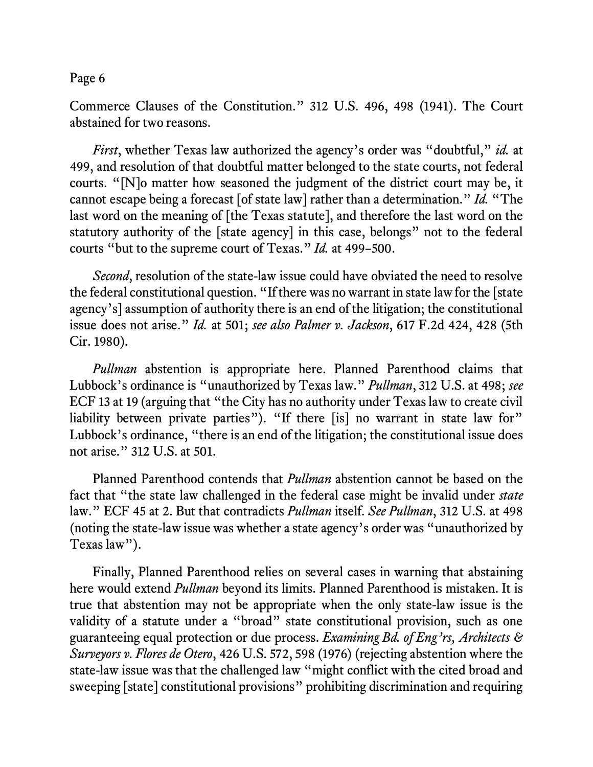Commerce Clauses of the Constitution." 312 U.S. 496, 498 (1941). The Court abstained for two reasons.

*First*, whether Texas law authorized the agency's order was "doubtful," *id.* at 499, and resolution of that doubtful matter belonged to the state courts, not federal courts. "[N]o matter how seasoned the judgment of the district court may be, it cannot escape being a forecast [of state law] rather than a determination." *Id.* "The last word on the meaning of [the Texas statute], and therefore the last word on the statutory authority of the [state agency] in this case, belongs" not to the federal courts "but to the supreme court of Texas." *Id.* at 499–500.

*Second*, resolution of the state-law issue could have obviated the need to resolve the federal constitutional question. "If there was no warrant in state law for the [state agency's] assumption of authority there is an end of the litigation; the constitutional issue does not arise." *Id.* at 501; *see also Palmer v. Jackson*, 617 F.2d 424, 428 (5th Cir. 1980).

*Pullman* abstention is appropriate here. Planned Parenthood claims that Lubbock's ordinance is "unauthorized by Texas law." *Pullman*, 312 U.S. at 498; *see* ECF 13 at 19 (arguing that "the City has no authority under Texas law to create civil liability between private parties"). "If there [is] no warrant in state law for" Lubbock's ordinance, "there is an end of the litigation; the constitutional issue does not arise." 312 U.S. at 501.

Planned Parenthood contends that *Pullman* abstention cannot be based on the fact that "the state law challenged in the federal case might be invalid under *state* law." ECF 45 at 2. But that contradicts *Pullman* itself. *See Pullman*, 312 U.S. at 498 (noting the state-law issue was whether a state agency's order was "unauthorized by Texas law").

Finally, Planned Parenthood relies on several cases in warning that abstaining here would extend *Pullman* beyond its limits. Planned Parenthood is mistaken. It is true that abstention may not be appropriate when the only state-law issue is the validity of a statute under a "broad" state constitutional provision, such as one guaranteeing equal protection or due process. *Examining Bd. of Eng'rs, Architects & Surveyors v. Flores de Otero*, 426 U.S. 572, 598 (1976) (rejecting abstention where the state-law issue was that the challenged law "might conflict with the cited broad and sweeping [state] constitutional provisions" prohibiting discrimination and requiring